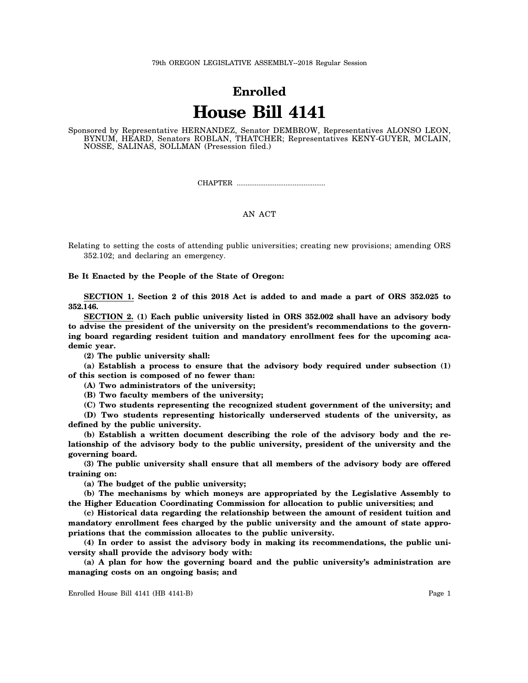## **Enrolled House Bill 4141**

Sponsored by Representative HERNANDEZ, Senator DEMBROW, Representatives ALONSO LEON, BYNUM, HEARD, Senators ROBLAN, THATCHER; Representatives KENY-GUYER, MCLAIN, NOSSE, SALINAS, SOLLMAN (Presession filed.)

CHAPTER .................................................

## AN ACT

Relating to setting the costs of attending public universities; creating new provisions; amending ORS 352.102; and declaring an emergency.

**Be It Enacted by the People of the State of Oregon:**

**SECTION 1. Section 2 of this 2018 Act is added to and made a part of ORS 352.025 to 352.146.**

**SECTION 2. (1) Each public university listed in ORS 352.002 shall have an advisory body to advise the president of the university on the president's recommendations to the governing board regarding resident tuition and mandatory enrollment fees for the upcoming academic year.**

**(2) The public university shall:**

**(a) Establish a process to ensure that the advisory body required under subsection (1) of this section is composed of no fewer than:**

**(A) Two administrators of the university;**

**(B) Two faculty members of the university;**

**(C) Two students representing the recognized student government of the university; and**

**(D) Two students representing historically underserved students of the university, as defined by the public university.**

**(b) Establish a written document describing the role of the advisory body and the relationship of the advisory body to the public university, president of the university and the governing board.**

**(3) The public university shall ensure that all members of the advisory body are offered training on:**

**(a) The budget of the public university;**

**(b) The mechanisms by which moneys are appropriated by the Legislative Assembly to the Higher Education Coordinating Commission for allocation to public universities; and**

**(c) Historical data regarding the relationship between the amount of resident tuition and mandatory enrollment fees charged by the public university and the amount of state appropriations that the commission allocates to the public university.**

**(4) In order to assist the advisory body in making its recommendations, the public university shall provide the advisory body with:**

**(a) A plan for how the governing board and the public university's administration are managing costs on an ongoing basis; and**

Enrolled House Bill 4141 (HB 4141-B) Page 1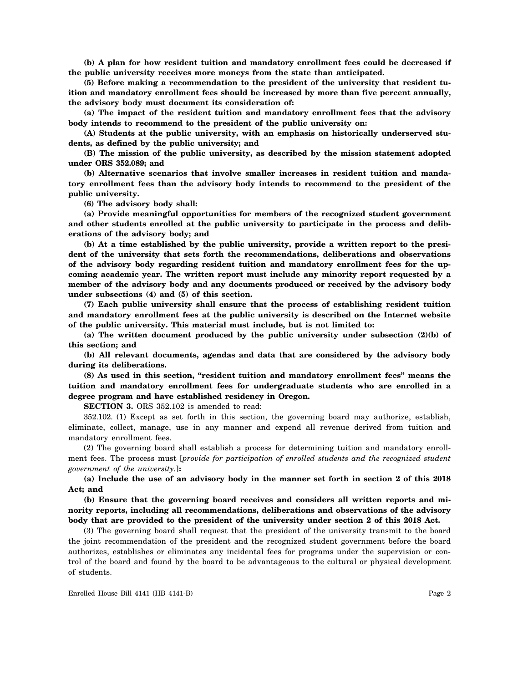**(b) A plan for how resident tuition and mandatory enrollment fees could be decreased if the public university receives more moneys from the state than anticipated.**

**(5) Before making a recommendation to the president of the university that resident tuition and mandatory enrollment fees should be increased by more than five percent annually, the advisory body must document its consideration of:**

**(a) The impact of the resident tuition and mandatory enrollment fees that the advisory body intends to recommend to the president of the public university on:**

**(A) Students at the public university, with an emphasis on historically underserved students, as defined by the public university; and**

**(B) The mission of the public university, as described by the mission statement adopted under ORS 352.089; and**

**(b) Alternative scenarios that involve smaller increases in resident tuition and mandatory enrollment fees than the advisory body intends to recommend to the president of the public university.**

**(6) The advisory body shall:**

**(a) Provide meaningful opportunities for members of the recognized student government and other students enrolled at the public university to participate in the process and deliberations of the advisory body; and**

**(b) At a time established by the public university, provide a written report to the president of the university that sets forth the recommendations, deliberations and observations of the advisory body regarding resident tuition and mandatory enrollment fees for the upcoming academic year. The written report must include any minority report requested by a member of the advisory body and any documents produced or received by the advisory body under subsections (4) and (5) of this section.**

**(7) Each public university shall ensure that the process of establishing resident tuition and mandatory enrollment fees at the public university is described on the Internet website of the public university. This material must include, but is not limited to:**

**(a) The written document produced by the public university under subsection (2)(b) of this section; and**

**(b) All relevant documents, agendas and data that are considered by the advisory body during its deliberations.**

**(8) As used in this section, "resident tuition and mandatory enrollment fees" means the tuition and mandatory enrollment fees for undergraduate students who are enrolled in a degree program and have established residency in Oregon.**

**SECTION 3.** ORS 352.102 is amended to read:

352.102. (1) Except as set forth in this section, the governing board may authorize, establish, eliminate, collect, manage, use in any manner and expend all revenue derived from tuition and mandatory enrollment fees.

(2) The governing board shall establish a process for determining tuition and mandatory enrollment fees. The process must [*provide for participation of enrolled students and the recognized student government of the university.*]**:**

**(a) Include the use of an advisory body in the manner set forth in section 2 of this 2018 Act; and**

**(b) Ensure that the governing board receives and considers all written reports and minority reports, including all recommendations, deliberations and observations of the advisory body that are provided to the president of the university under section 2 of this 2018 Act.**

(3) The governing board shall request that the president of the university transmit to the board the joint recommendation of the president and the recognized student government before the board authorizes, establishes or eliminates any incidental fees for programs under the supervision or control of the board and found by the board to be advantageous to the cultural or physical development of students.